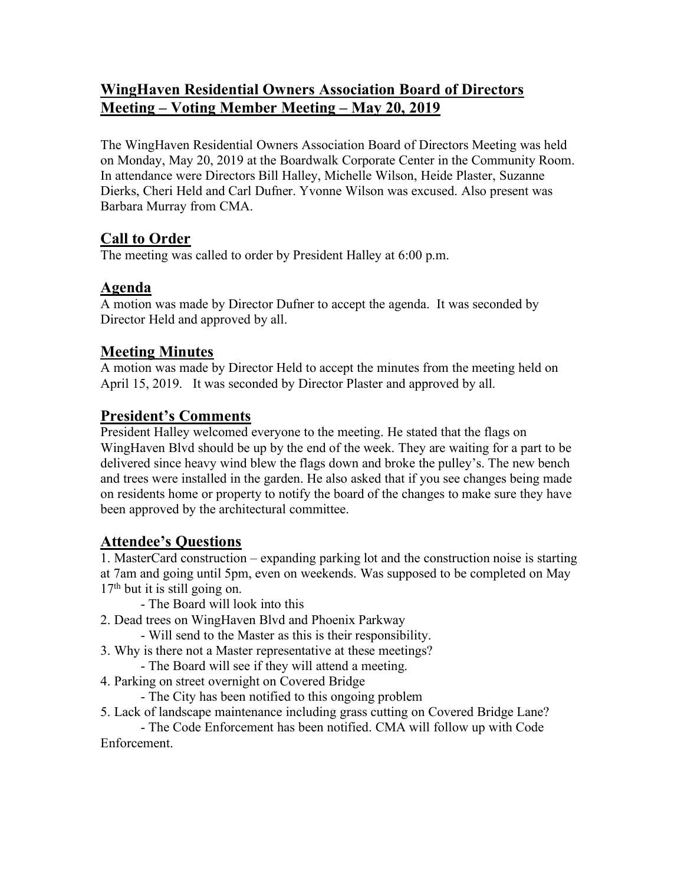# **WingHaven Residential Owners Association Board of Directors Meeting – Voting Member Meeting – May 20, 2019**

The WingHaven Residential Owners Association Board of Directors Meeting was held on Monday, May 20, 2019 at the Boardwalk Corporate Center in the Community Room. In attendance were Directors Bill Halley, Michelle Wilson, Heide Plaster, Suzanne Dierks, Cheri Held and Carl Dufner. Yvonne Wilson was excused. Also present was Barbara Murray from CMA.

# **Call to Order**

The meeting was called to order by President Halley at 6:00 p.m.

# **Agenda**

A motion was made by Director Dufner to accept the agenda. It was seconded by Director Held and approved by all.

# **Meeting Minutes**

A motion was made by Director Held to accept the minutes from the meeting held on April 15, 2019. It was seconded by Director Plaster and approved by all.

# **President's Comments**

President Halley welcomed everyone to the meeting. He stated that the flags on WingHaven Blvd should be up by the end of the week. They are waiting for a part to be delivered since heavy wind blew the flags down and broke the pulley's. The new bench and trees were installed in the garden. He also asked that if you see changes being made on residents home or property to notify the board of the changes to make sure they have been approved by the architectural committee.

### **Attendee's Questions**

1. MasterCard construction – expanding parking lot and the construction noise is starting at 7am and going until 5pm, even on weekends. Was supposed to be completed on May  $17<sup>th</sup>$  but it is still going on.

- The Board will look into this

2. Dead trees on WingHaven Blvd and Phoenix Parkway

- Will send to the Master as this is their responsibility.

- 3. Why is there not a Master representative at these meetings?
	- The Board will see if they will attend a meeting.
- 4. Parking on street overnight on Covered Bridge

- The City has been notified to this ongoing problem

5. Lack of landscape maintenance including grass cutting on Covered Bridge Lane?

- The Code Enforcement has been notified. CMA will follow up with Code Enforcement.